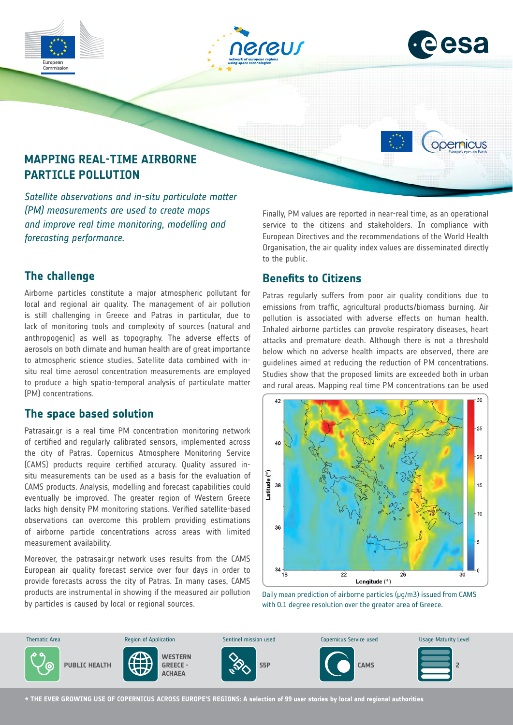



opernicus

# **MAPPING REAL-TIME AIRBORNE PARTICLE POLLUTION**

*Satellite observations and in-situ particulate matter (PM) measurements are used to create maps and improve real time monitoring, modelling and forecasting performance.*

### **The challenge**

Airborne particles constitute a major atmospheric pollutant for local and regional air quality. The management of air pollution is still challenging in Greece and Patras in particular, due to lack of monitoring tools and complexity of sources (natural and anthropogenic) as well as topography. The adverse effects of aerosols on both climate and human health are of great importance to atmospheric science studies. Satellite data combined with insitu real time aerosol concentration measurements are employed to produce a high spatio-temporal analysis of particulate matter (PM) concentrations.

### **The space based solution**

Patrasair.gr is a real time PM concentration monitoring network of certified and regularly calibrated sensors, implemented across the city of Patras. Copernicus Atmosphere Monitoring Service (CAMS) products require certified accuracy. Quality assured insitu measurements can be used as a basis for the evaluation of CAMS products. Analysis, modelling and forecast capabilities could eventually be improved. The greater region of Western Greece lacks high density PM monitoring stations. Verified satellite-based observations can overcome this problem providing estimations of airborne particle concentrations across areas with limited measurement availability.

Moreover, the patrasair.gr network uses results from the CAMS European air quality forecast service over four days in order to provide forecasts across the city of Patras. In many cases, CAMS products are instrumental in showing if the measured air pollution by particles is caused by local or regional sources.

Finally, PM values are reported in near-real time, as an operational service to the citizens and stakeholders. In compliance with European Directives and the recommendations of the World Health Organisation, the air quality index values are disseminated directly to the public.

## **Benefits to Citizens**

Patras regularly suffers from poor air quality conditions due to emissions from traffic, agricultural products/biomass burning. Air pollution is associated with adverse effects on human health. Inhaled airborne particles can provoke respiratory diseases, heart attacks and premature death. Although there is not a threshold below which no adverse health impacts are observed, there are guidelines aimed at reducing the reduction of PM concentrations. Studies show that the proposed limits are exceeded both in urban and rural areas. Mapping real time PM concentrations can be used



Daily mean prediction of airborne particles ( $\mu$ g/m3) issued from CAMS with 0.1 degree resolution over the greater area of Greece.



**→ THE EVER GROWING USE OF COPERNICUS ACROSS EUROPE'S REGIONS: A selection of 99 user stories by local and regional authorities**